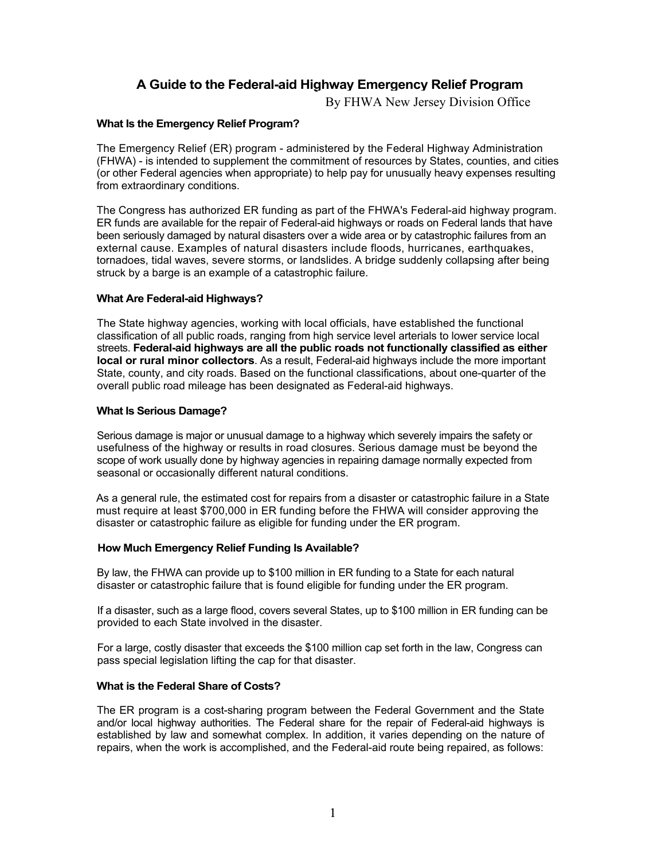# **A Guide to the Federal-aid Highway Emergency Relief Program**

By FHWA New Jersey Division Office

# **What Is the Emergency Relief Program?**

The Emergency Relief (ER) program - administered by the Federal Highway Administration (FHWA) - is intended to supplement the commitment of resources by States, counties, and cities (or other Federal agencies when appropriate) to help pay for unusually heavy expenses resulting from extraordinary conditions.

The Congress has authorized ER funding as part of the FHWA's Federal-aid highway program. ER funds are available for the repair of Federal-aid highways or roads on Federal lands that have been seriously damaged by natural disasters over a wide area or by catastrophic failures from an external cause. Examples of natural disasters include floods, hurricanes, earthquakes, tornadoes, tidal waves, severe storms, or landslides. A bridge suddenly collapsing after being struck by a barge is an example of a catastrophic failure.

# **What Are Federal-aid Highways?**

The State highway agencies, working with local officials, have established the functional classification of all public roads, ranging from high service level arterials to lower service local streets. **Federal-aid highways are all the public roads not functionally classified as either local or rural minor collectors**. As a result, Federal-aid highways include the more important State, county, and city roads. Based on the functional classifications, about one-quarter of the overall public road mileage has been designated as Federal-aid highways.

# **What Is Serious Damage?**

Serious damage is major or unusual damage to a highway which severely impairs the safety or usefulness of the highway or results in road closures. Serious damage must be beyond the scope of work usually done by highway agencies in repairing damage normally expected from seasonal or occasionally different natural conditions.

As a general rule, the estimated cost for repairs from a disaster or catastrophic failure in a State must require at least \$700,000 in ER funding before the FHWA will consider approving the disaster or catastrophic failure as eligible for funding under the ER program.

## **How Much Emergency Relief Funding Is Available?**

By law, the FHWA can provide up to \$100 million in ER funding to a State for each natural disaster or catastrophic failure that is found eligible for funding under the ER program.

If a disaster, such as a large flood, covers several States, up to \$100 million in ER funding can be provided to each State involved in the disaster.

For a large, costly disaster that exceeds the \$100 million cap set forth in the law, Congress can pass special legislation lifting the cap for that disaster.

## **What is the Federal Share of Costs?**

The ER program is a cost-sharing program between the Federal Government and the State and/or local highway authorities. The Federal share for the repair of Federal-aid highways is established by law and somewhat complex. In addition, it varies depending on the nature of repairs, when the work is accomplished, and the Federal-aid route being repaired, as follows: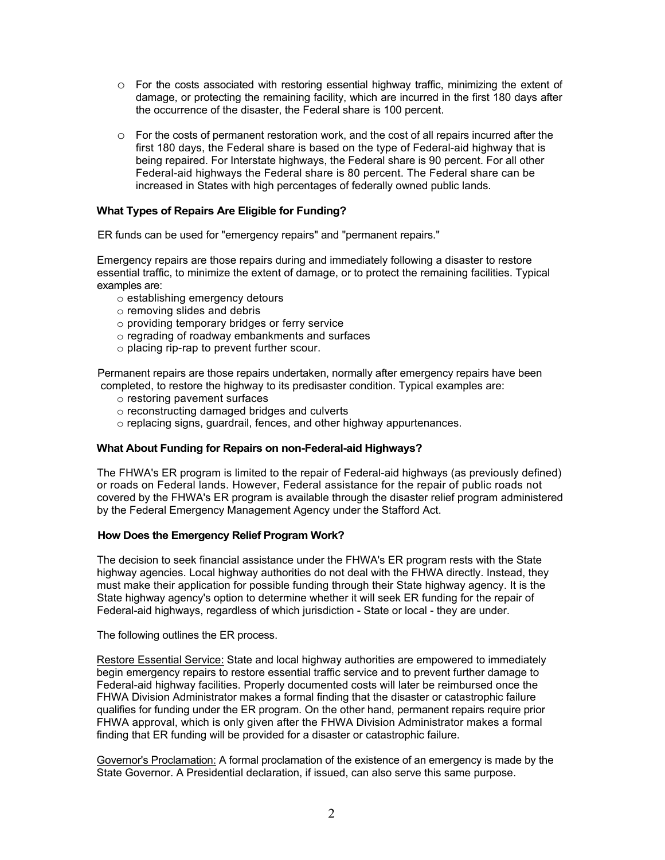- $\circ$  For the costs associated with restoring essential highway traffic, minimizing the extent of damage, or protecting the remaining facility, which are incurred in the first 180 days after the occurrence of the disaster, the Federal share is 100 percent.
- $\circ$  For the costs of permanent restoration work, and the cost of all repairs incurred after the first 180 days, the Federal share is based on the type of Federal-aid highway that is being repaired. For Interstate highways, the Federal share is 90 percent. For all other Federal-aid highways the Federal share is 80 percent. The Federal share can be increased in States with high percentages of federally owned public lands.

## **What Types of Repairs Are Eligible for Funding?**

ER funds can be used for "emergency repairs" and "permanent repairs."

Emergency repairs are those repairs during and immediately following a disaster to restore essential traffic, to minimize the extent of damage, or to protect the remaining facilities. Typical examples are:

- o establishing emergency detours
- o removing slides and debris
- $\circ$  providing temporary bridges or ferry service
- o regrading of roadway embankments and surfaces
- o placing rip-rap to prevent further scour.

Permanent repairs are those repairs undertaken, normally after emergency repairs have been completed, to restore the highway to its predisaster condition. Typical examples are:

- o restoring pavement surfaces
- o reconstructing damaged bridges and culverts
- o replacing signs, guardrail, fences, and other highway appurtenances.

# **What About Funding for Repairs on non-Federal-aid Highways?**

The FHWA's ER program is limited to the repair of Federal-aid highways (as previously defined) or roads on Federal lands. However, Federal assistance for the repair of public roads not covered by the FHWA's ER program is available through the disaster relief program administered by the Federal Emergency Management Agency under the Stafford Act.

## **How Does the Emergency Relief Program Work?**

The decision to seek financial assistance under the FHWA's ER program rests with the State highway agencies. Local highway authorities do not deal with the FHWA directly. Instead, they must make their application for possible funding through their State highway agency. It is the State highway agency's option to determine whether it will seek ER funding for the repair of Federal-aid highways, regardless of which jurisdiction - State or local - they are under.

The following outlines the ER process.

Restore Essential Service: State and local highway authorities are empowered to immediately begin emergency repairs to restore essential traffic service and to prevent further damage to Federal-aid highway facilities. Properly documented costs will later be reimbursed once the FHWA Division Administrator makes a formal finding that the disaster or catastrophic failure qualifies for funding under the ER program. On the other hand, permanent repairs require prior FHWA approval, which is only given after the FHWA Division Administrator makes a formal finding that ER funding will be provided for a disaster or catastrophic failure.

Governor's Proclamation: A formal proclamation of the existence of an emergency is made by the State Governor. A Presidential declaration, if issued, can also serve this same purpose.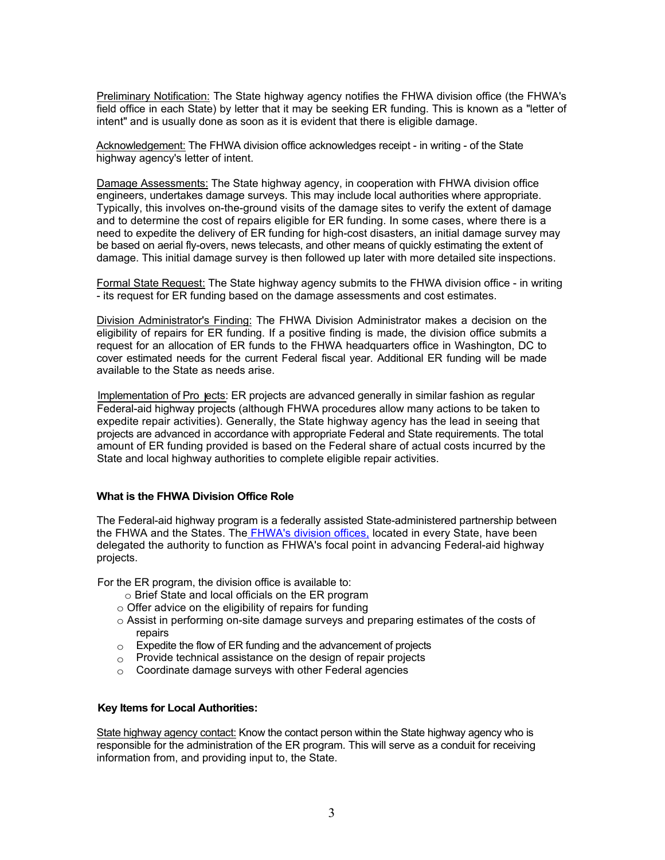Preliminary Notification: The State highway agency notifies the FHWA division office (the FHWA's field office in each State) by letter that it may be seeking ER funding. This is known as a "letter of intent" and is usually done as soon as it is evident that there is eligible damage.

Acknowledgement: The FHWA division office acknowledges receipt - in writing - of the State highway agency's letter of intent.

Damage Assessments: The State highway agency, in cooperation with FHWA division office engineers, undertakes damage surveys. This may include local authorities where appropriate. Typically, this involves on-the-ground visits of the damage sites to verify the extent of damage and to determine the cost of repairs eligible for ER funding. In some cases, where there is a need to expedite the delivery of ER funding for high-cost disasters, an initial damage survey may be based on aerial fly-overs, news telecasts, and other means of quickly estimating the extent of damage. This initial damage survey is then followed up later with more detailed site inspections.

Formal State Request: The State highway agency submits to the FHWA division office - in writing - its request for ER funding based on the damage assessments and cost estimates.

Division Administrator's Finding: The FHWA Division Administrator makes a decision on the eligibility of repairs for ER funding. If a positive finding is made, the division office submits a request for an allocation of ER funds to the FHWA headquarters office in Washington, DC to cover estimated needs for the current Federal fiscal year. Additional ER funding will be made available to the State as needs arise.

Implementation of Pro ects: ER projects are advanced generally in similar fashion as regular Federal-aid highway projects (although FHWA procedures allow many actions to be taken to expedite repair activities). Generally, the State highway agency has the lead in seeing that projects are advanced in accordance with appropriate Federal and State requirements. The total amount of ER funding provided is based on the Federal share of actual costs incurred by the State and local highway authorities to complete eligible repair activities.

## **What is the FHWA Division Office Role**

The Federal-aid highway program is a federally assisted State-administered partnership between the FHWA and the States. The FHWA's division offices, located in every State, have been delegated the authority to function as FHWA's focal point in advancing Federal-aid highway projects.

For the ER program, the division office is available to:

- o Brief State and local officials on the ER program
- $\circ$  Offer advice on the eligibility of repairs for funding
- $\circ$  Assist in performing on-site damage surveys and preparing estimates of the costs of repairs
- $\circ$  Expedite the flow of ER funding and the advancement of projects
- Provide technical assistance on the design of repair projects o
- Coordinate damage surveys with other Federal agencies o

## **Key Items for Local Authorities:**

State highway agency contact: Know the contact person within the State highway agency who is responsible for the administration of the ER program. This will serve as a conduit for receiving information from, and providing input to, the State.